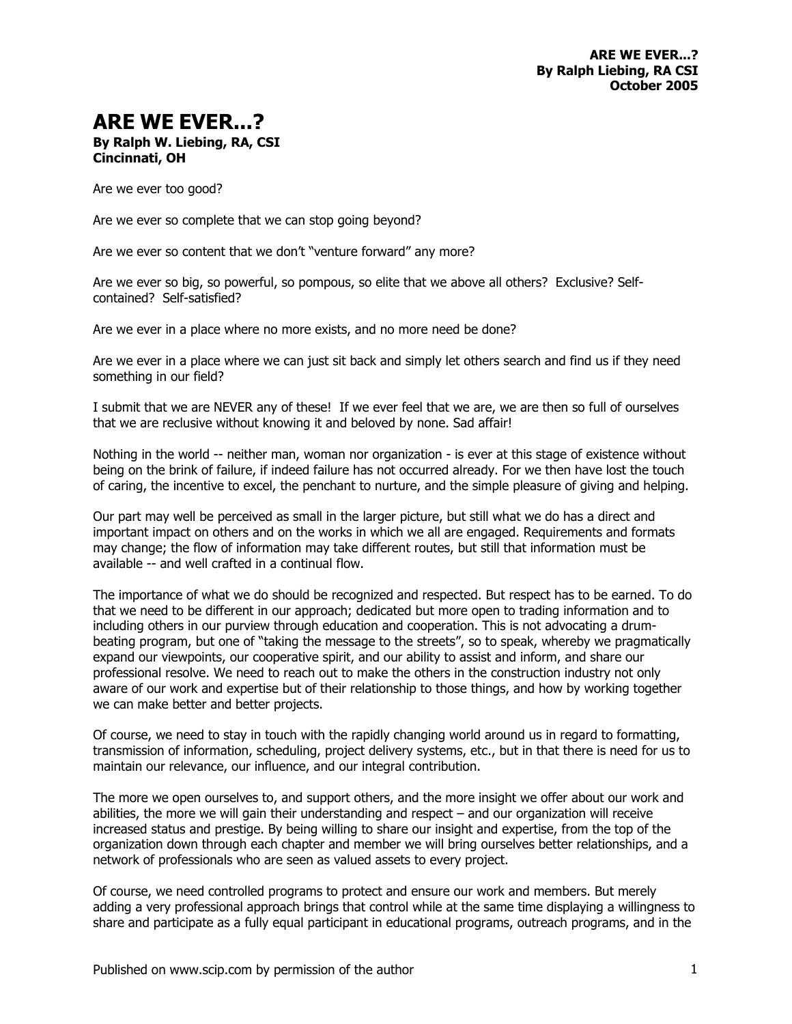## **ARE WE EVER...?**

## **By Ralph W. Liebing, RA, CSI Cincinnati, OH**

Are we ever too good?

Are we ever so complete that we can stop going beyond?

Are we ever so content that we don't "venture forward" any more?

Are we ever so big, so powerful, so pompous, so elite that we above all others? Exclusive? Selfcontained? Self-satisfied?

Are we ever in a place where no more exists, and no more need be done?

Are we ever in a place where we can just sit back and simply let others search and find us if they need something in our field?

I submit that we are NEVER any of these! If we ever feel that we are, we are then so full of ourselves that we are reclusive without knowing it and beloved by none. Sad affair!

Nothing in the world -- neither man, woman nor organization - is ever at this stage of existence without being on the brink of failure, if indeed failure has not occurred already. For we then have lost the touch of caring, the incentive to excel, the penchant to nurture, and the simple pleasure of giving and helping.

Our part may well be perceived as small in the larger picture, but still what we do has a direct and important impact on others and on the works in which we all are engaged. Requirements and formats may change; the flow of information may take different routes, but still that information must be available -- and well crafted in a continual flow.

The importance of what we do should be recognized and respected. But respect has to be earned. To do that we need to be different in our approach; dedicated but more open to trading information and to including others in our purview through education and cooperation. This is not advocating a drumbeating program, but one of "taking the message to the streets", so to speak, whereby we pragmatically expand our viewpoints, our cooperative spirit, and our ability to assist and inform, and share our professional resolve. We need to reach out to make the others in the construction industry not only aware of our work and expertise but of their relationship to those things, and how by working together we can make better and better projects.

Of course, we need to stay in touch with the rapidly changing world around us in regard to formatting, transmission of information, scheduling, project delivery systems, etc., but in that there is need for us to maintain our relevance, our influence, and our integral contribution.

The more we open ourselves to, and support others, and the more insight we offer about our work and abilities, the more we will gain their understanding and respect – and our organization will receive increased status and prestige. By being willing to share our insight and expertise, from the top of the organization down through each chapter and member we will bring ourselves better relationships, and a network of professionals who are seen as valued assets to every project.

Of course, we need controlled programs to protect and ensure our work and members. But merely adding a very professional approach brings that control while at the same time displaying a willingness to share and participate as a fully equal participant in educational programs, outreach programs, and in the